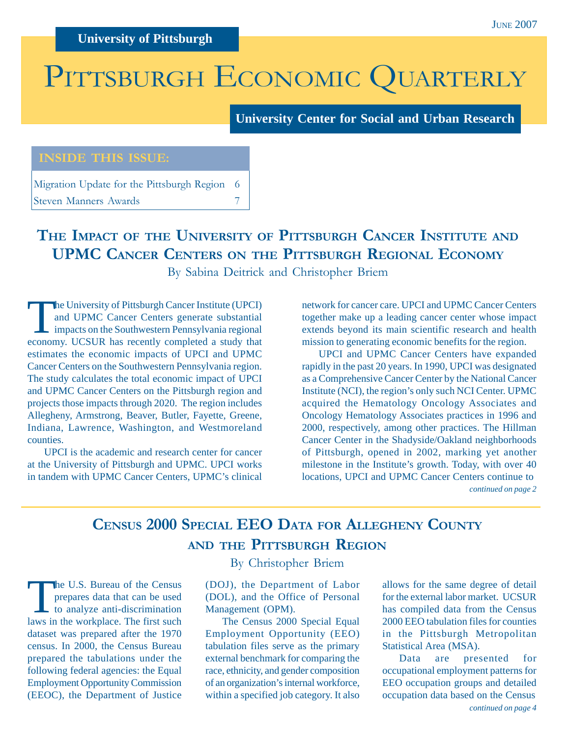# PITTSBURGH ECONOMIC QUARTERLY

**University Center for Social and Urban Research**

#### **INSIDE THIS ISSUE:**

Migration Update for the Pittsburgh Region 6 Steven Manners Awards 7

### **THE IMPACT OF THE UNIVERSITY OF PITTSBURGH CANCER INSTITUTE AND UPMC CANCER CENTERS ON THE PITTSBURGH REGIONAL ECONOMY**

By Sabina Deitrick and Christopher Briem

The University of Pittsburgh Cancer Institute (UPCI)<br>and UPMC Cancer Centers generate substantial<br>impacts on the Southwestern Pennsylvania regional<br>acconomy LICSUP has recently completed a study that and UPMC Cancer Centers generate substantial impacts on the Southwestern Pennsylvania regional economy. UCSUR has recently completed a study that estimates the economic impacts of UPCI and UPMC Cancer Centers on the Southwestern Pennsylvania region. The study calculates the total economic impact of UPCI and UPMC Cancer Centers on the Pittsburgh region and projects those impacts through 2020. The region includes Allegheny, Armstrong, Beaver, Butler, Fayette, Greene, Indiana, Lawrence, Washington, and Westmoreland counties.

UPCI is the academic and research center for cancer at the University of Pittsburgh and UPMC. UPCI works in tandem with UPMC Cancer Centers, UPMC's clinical network for cancer care. UPCI and UPMC Cancer Centers together make up a leading cancer center whose impact extends beyond its main scientific research and health mission to generating economic benefits for the region.

*continued on page 2* UPCI and UPMC Cancer Centers have expanded rapidly in the past 20 years. In 1990, UPCI was designated as a Comprehensive Cancer Center by the National Cancer Institute (NCI), the region's only such NCI Center. UPMC acquired the Hematology Oncology Associates and Oncology Hematology Associates practices in 1996 and 2000, respectively, among other practices. The Hillman Cancer Center in the Shadyside/Oakland neighborhoods of Pittsburgh, opened in 2002, marking yet another milestone in the Institute's growth. Today, with over 40 locations, UPCI and UPMC Cancer Centers continue to

### **CENSUS 2000 SPECIAL EEO DATA FOR ALLEGHENY COUNTY AND THE PITTSBURGH REGION**

The U.S. Bureau of the Census<br>prepares data that can be used<br>to analyze anti-discrimination<br>laws in the workplace. The first such prepares data that can be used laws in the workplace. The first such dataset was prepared after the 1970 census. In 2000, the Census Bureau prepared the tabulations under the following federal agencies: the Equal Employment Opportunity Commission (EEOC), the Department of Justice

#### By Christopher Briem

(DOJ), the Department of Labor (DOL), and the Office of Personal Management (OPM).

The Census 2000 Special Equal Employment Opportunity (EEO) tabulation files serve as the primary external benchmark for comparing the race, ethnicity, and gender composition of an organization's internal workforce, within a specified job category. It also

allows for the same degree of detail for the external labor market. UCSUR has compiled data from the Census 2000 EEO tabulation files for counties in the Pittsburgh Metropolitan Statistical Area (MSA).

*continued on page 4* Data are presented for occupational employment patterns for EEO occupation groups and detailed occupation data based on the Census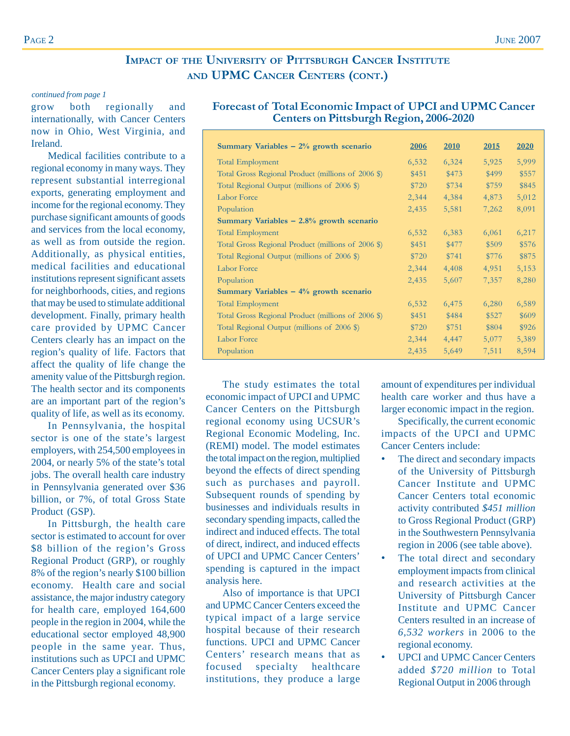#### **IMPACT OF THE UNIVERSITY OF PITTSBURGH CANCER INSTITUTE AND UPMC CANCER CENTERS (CONT.)**

#### *continued from page 1*

grow both regionally and internationally, with Cancer Centers now in Ohio, West Virginia, and Ireland.

Medical facilities contribute to a regional economy in many ways. They represent substantial interregional exports, generating employment and income for the regional economy. They purchase significant amounts of goods and services from the local economy, as well as from outside the region. Additionally, as physical entities, medical facilities and educational institutions represent significant assets for neighborhoods, cities, and regions that may be used to stimulate additional development. Finally, primary health care provided by UPMC Cancer Centers clearly has an impact on the region's quality of life. Factors that affect the quality of life change the amenity value of the Pittsburgh region. The health sector and its components are an important part of the region's quality of life, as well as its economy.

In Pennsylvania, the hospital sector is one of the state's largest employers, with 254,500 employees in 2004, or nearly 5% of the state's total jobs. The overall health care industry in Pennsylvania generated over \$36 billion, or 7%, of total Gross State Product (GSP).

In Pittsburgh, the health care sector is estimated to account for over \$8 billion of the region's Gross Regional Product (GRP), or roughly 8% of the region's nearly \$100 billion economy. Health care and social assistance, the major industry category for health care, employed 164,600 people in the region in 2004, while the educational sector employed 48,900 people in the same year. Thus, institutions such as UPCI and UPMC Cancer Centers play a significant role in the Pittsburgh regional economy.

#### **Forecast of Total Economic Impact of UPCI and UPMC Cancer Centers on Pittsburgh Region, 2006-2020**

| Summary Variables $-2\%$ growth scenario           | 2006  | <b>2010</b> | <u>2015</u> | 2020  |
|----------------------------------------------------|-------|-------------|-------------|-------|
| Total Employment                                   | 6,532 | 6,324       | 5,925       | 5,999 |
| Total Gross Regional Product (millions of 2006 \$) | \$451 | \$473       | \$499       | \$557 |
| Total Regional Output (millions of 2006 \$)        | \$720 | \$734       | \$759       | \$845 |
| Labor Force                                        | 2,344 | 4,384       | 4,873       | 5,012 |
| Population                                         | 2,435 | 5,581       | 7,262       | 8,091 |
| Summary Variables $-2.8\%$ growth scenario         |       |             |             |       |
| <b>Total Employment</b>                            | 6,532 | 6,383       | 6,061       | 6,217 |
| Total Gross Regional Product (millions of 2006 \$) | \$451 | \$477       | \$509       | \$576 |
| Total Regional Output (millions of 2006 \$)        | \$720 | \$741       | \$776       | \$875 |
| Labor Force                                        | 2,344 | 4,408       | 4,951       | 5,153 |
| Population                                         | 2,435 | 5,607       | 7,357       | 8,280 |
| Summary Variables $-4\%$ growth scenario           |       |             |             |       |
| Total Employment                                   | 6,532 | 6,475       | 6,280       | 6,589 |
| Total Gross Regional Product (millions of 2006 \$) | \$451 | \$484       | \$527       | \$609 |
| Total Regional Output (millions of 2006 \$)        | \$720 | \$751       | \$804       | \$926 |
| Labor Force                                        | 2,344 | 4,447       | 5,077       | 5,389 |
| Population                                         | 2,435 | 5,649       | 7,511       | 8,594 |

The study estimates the total economic impact of UPCI and UPMC Cancer Centers on the Pittsburgh regional economy using UCSUR's Regional Economic Modeling, Inc. (REMI) model. The model estimates the total impact on the region, multiplied beyond the effects of direct spending such as purchases and payroll. Subsequent rounds of spending by businesses and individuals results in secondary spending impacts, called the indirect and induced effects. The total of direct, indirect, and induced effects of UPCI and UPMC Cancer Centers' spending is captured in the impact analysis here.

Also of importance is that UPCI and UPMC Cancer Centers exceed the typical impact of a large service hospital because of their research functions. UPCI and UPMC Cancer Centers' research means that as focused specialty healthcare institutions, they produce a large

amount of expenditures per individual health care worker and thus have a larger economic impact in the region.

Specifically, the current economic impacts of the UPCI and UPMC Cancer Centers include:

- The direct and secondary impacts of the University of Pittsburgh Cancer Institute and UPMC Cancer Centers total economic activity contributed *\$451 million* to Gross Regional Product (GRP) in the Southwestern Pennsylvania region in 2006 (see table above).
- The total direct and secondary employment impacts from clinical and research activities at the University of Pittsburgh Cancer Institute and UPMC Cancer Centers resulted in an increase of *6,532 workers* in 2006 to the regional economy.
- UPCI and UPMC Cancer Centers added *\$720 million* to Total Regional Output in 2006 through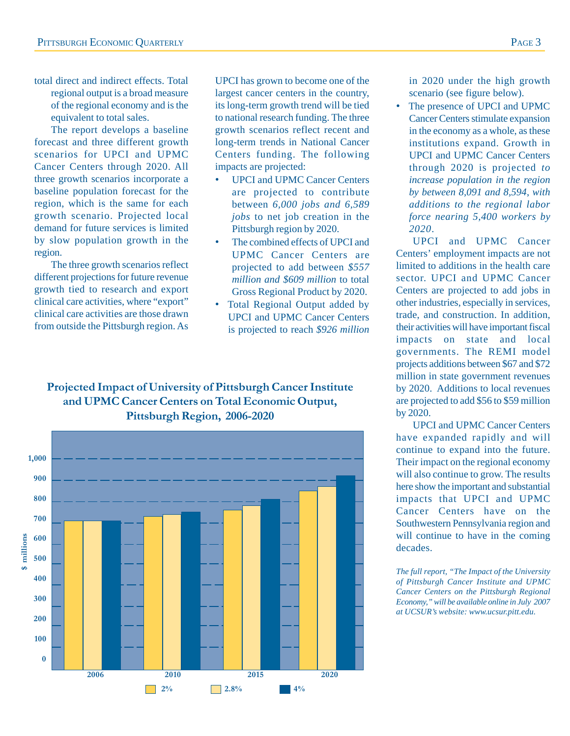total direct and indirect effects. Total regional output is a broad measure of the regional economy and is the equivalent to total sales.

The report develops a baseline forecast and three different growth scenarios for UPCI and UPMC Cancer Centers through 2020. All three growth scenarios incorporate a baseline population forecast for the region, which is the same for each growth scenario. Projected local demand for future services is limited by slow population growth in the region.

The three growth scenarios reflect different projections for future revenue growth tied to research and export clinical care activities, where "export" clinical care activities are those drawn from outside the Pittsburgh region. As UPCI has grown to become one of the largest cancer centers in the country, its long-term growth trend will be tied to national research funding. The three growth scenarios reflect recent and long-term trends in National Cancer Centers funding. The following impacts are projected:

- UPCI and UPMC Cancer Centers are projected to contribute between *6,000 jobs and 6,589 jobs* to net job creation in the Pittsburgh region by 2020.
- The combined effects of UPCI and UPMC Cancer Centers are projected to add between *\$557 million and \$609 million* to total Gross Regional Product by 2020.
- Total Regional Output added by UPCI and UPMC Cancer Centers is projected to reach *\$926 million*

#### **Projected Impact of University of Pittsburgh Cancer Institute and UPMC Cancer Centers on Total Economic Output, Pittsburgh Region, 2006-2020**



in 2020 under the high growth scenario (see figure below).

The presence of UPCI and UPMC Cancer Centers stimulate expansion in the economy as a whole, as these institutions expand. Growth in UPCI and UPMC Cancer Centers through 2020 is projected *to increase population in the region by between 8,091 and 8,594*, *with additions to the regional labor force nearing 5,400 workers by 2020*.

UPCI and UPMC Cancer Centers' employment impacts are not limited to additions in the health care sector. UPCI and UPMC Cancer Centers are projected to add jobs in other industries, especially in services, trade, and construction. In addition, their activities will have important fiscal impacts on state and local governments. The REMI model projects additions between \$67 and \$72 million in state government revenues by 2020. Additions to local revenues are projected to add \$56 to \$59 million by 2020.

UPCI and UPMC Cancer Centers have expanded rapidly and will continue to expand into the future. Their impact on the regional economy will also continue to grow. The results here show the important and substantial impacts that UPCI and UPMC Cancer Centers have on the Southwestern Pennsylvania region and will continue to have in the coming decades.

*The full report, "The Impact of the University of Pittsburgh Cancer Institute and UPMC Cancer Centers on the Pittsburgh Regional Economy," will be available online in July 2007 at UCSUR's website: www.ucsur.pitt.edu.*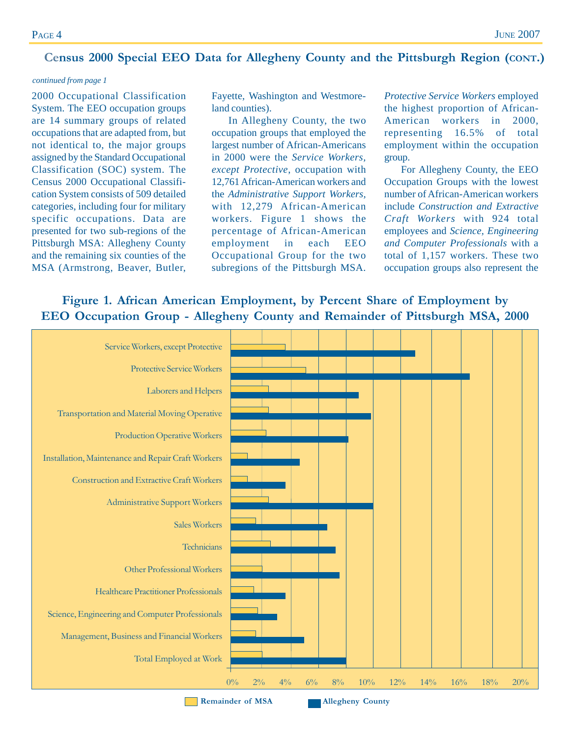### **Census 2000 Special EEO Data for Allegheny County and the Pittsburgh Region (CONT.)**

#### *continued from page 1*

2000 Occupational Classification System. The EEO occupation groups are 14 summary groups of related occupations that are adapted from, but not identical to, the major groups assigned by the Standard Occupational Classification (SOC) system. The Census 2000 Occupational Classification System consists of 509 detailed categories, including four for military specific occupations. Data are presented for two sub-regions of the Pittsburgh MSA: Allegheny County and the remaining six counties of the MSA (Armstrong, Beaver, Butler,

Fayette, Washington and Westmoreland counties).

In Allegheny County, the two occupation groups that employed the largest number of African-Americans in 2000 were the *Service Workers, except Protective*, occupation with 12,761 African-American workers and the *Administrative Support Workers,* with 12,279 African-American workers. Figure 1 shows the percentage of African-American employment in each EEO Occupational Group for the two subregions of the Pittsburgh MSA.

*Protective Service Workers* employed the highest proportion of African-American workers in 2000, representing 16.5% of total employment within the occupation group.

For Allegheny County, the EEO Occupation Groups with the lowest number of African-American workers include *Construction and Extractive Craft Workers* with 924 total employees and *Science, Engineering and Computer Professionals* with a total of 1,157 workers. These two occupation groups also represent the

#### **Figure 1. African American Employment, by Percent Share of Employment by EEO Occupation Group - Allegheny County and Remainder of Pittsburgh MSA, 2000**

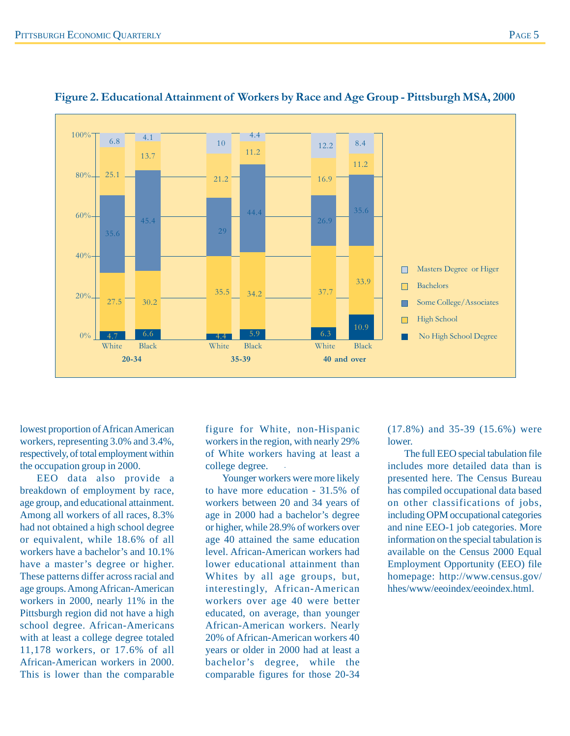

#### **Figure 2. Educational Attainment of Workers by Race and Age Group - Pittsburgh MSA, 2000**

lowest proportion of African American workers, representing 3.0% and 3.4%, respectively, of total employment within the occupation group in 2000.

EEO data also provide a breakdown of employment by race, age group, and educational attainment. Among all workers of all races, 8.3% had not obtained a high school degree or equivalent, while 18.6% of all workers have a bachelor's and 10.1% have a master's degree or higher. These patterns differ across racial and age groups. Among African-American workers in 2000, nearly 11% in the Pittsburgh region did not have a high school degree. African-Americans with at least a college degree totaled 11,178 workers, or 17.6% of all African-American workers in 2000. This is lower than the comparable

figure for White, non-Hispanic workers in the region, with nearly 29% of White workers having at least a college degree.

Younger workers were more likely to have more education - 31.5% of workers between 20 and 34 years of age in 2000 had a bachelor's degree or higher, while 28.9% of workers over age 40 attained the same education level. African-American workers had lower educational attainment than Whites by all age groups, but, interestingly, African-American workers over age 40 were better educated, on average, than younger African-American workers. Nearly 20% of African-American workers 40 years or older in 2000 had at least a bachelor's degree, while the comparable figures for those 20-34

(17.8%) and 35-39 (15.6%) were lower.

The full EEO special tabulation file includes more detailed data than is presented here. The Census Bureau has compiled occupational data based on other classifications of jobs, including OPM occupational categories and nine EEO-1 job categories. More information on the special tabulation is available on the Census 2000 Equal Employment Opportunity (EEO) file homepage: http://www.census.gov/ hhes/www/eeoindex/eeoindex.html.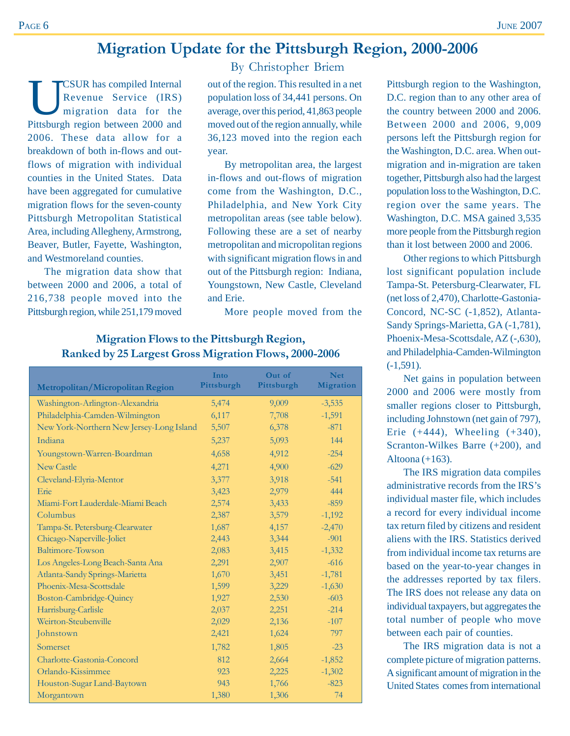### **Migration Update for the Pittsburgh Region, 2000-2006**

**EXUR has compiled Internal**<br>Revenue Service (IRS)<br>migration data for the<br>Ritteburgh region between 2000 and Revenue Service (IRS) migration data for the Pittsburgh region between 2000 and 2006. These data allow for a breakdown of both in-flows and outflows of migration with individual counties in the United States. Data have been aggregated for cumulative migration flows for the seven-county Pittsburgh Metropolitan Statistical Area, including Allegheny, Armstrong, Beaver, Butler, Fayette, Washington, and Westmoreland counties.

The migration data show that between 2000 and 2006, a total of 216,738 people moved into the Pittsburgh region, while 251,179 moved

By Christopher Briem

out of the region. This resulted in a net population loss of 34,441 persons. On average, over this period, 41,863 people moved out of the region annually, while 36,123 moved into the region each year.

By metropolitan area, the largest in-flows and out-flows of migration come from the Washington, D.C., Philadelphia, and New York City metropolitan areas (see table below). Following these are a set of nearby metropolitan and micropolitan regions with significant migration flows in and out of the Pittsburgh region: Indiana, Youngstown, New Castle, Cleveland and Erie.

More people moved from the

| Metropolitan/Micropolitan Region         | Into<br>Pittsburgh | Out of<br>Pittsburgh | <b>Net</b><br><b>Migration</b> |
|------------------------------------------|--------------------|----------------------|--------------------------------|
| Washington-Arlington-Alexandria          | 5,474              | 9,009                | $-3,535$                       |
| Philadelphia-Camden-Wilmington           | 6,117              | 7,708                | $-1,591$                       |
| New York-Northern New Jersey-Long Island | 5,507              | 6,378                | $-871$                         |
| Indiana                                  | 5,237              | 5,093                | 144                            |
| Youngstown-Warren-Boardman               | 4,658              | 4,912                | $-254$                         |
| <b>New Castle</b>                        | 4,271              | 4,900                | $-629$                         |
| Cleveland-Elyria-Mentor                  | 3,377              | 3,918                | $-541$                         |
| Erie                                     | 3,423              | 2,979                | 444                            |
| Miami-Fort Lauderdale-Miami Beach        | 2,574              | 3,433                | $-859$                         |
| Columbus                                 | 2,387              | 3,579                | $-1,192$                       |
| Tampa-St. Petersburg-Clearwater          | 1,687              | 4,157                | $-2,470$                       |
| Chicago-Naperville-Joliet                | 2,443              | 3,344                | $-901$                         |
| Baltimore-Towson                         | 2,083              | 3,415                | $-1,332$                       |
| Los Angeles-Long Beach-Santa Ana         | 2,291              | 2,907                | $-616$                         |
| Atlanta-Sandy Springs-Marietta           | 1,670              | 3,451                | $-1,781$                       |
| Phoenix-Mesa-Scottsdale                  | 1,599              | 3,229                | $-1,630$                       |
| Boston-Cambridge-Quincy                  | 1,927              | 2,530                | $-603$                         |
| Harrisburg-Carlisle                      | 2,037              | 2,251                | $-214$                         |
| Weirton-Steubenville                     | 2,029              | 2,136                | $-107$                         |
| Johnstown                                | 2,421              | 1,624                | 797                            |
| Somerset                                 | 1,782              | 1,805                | $-23$                          |
| Charlotte-Gastonia-Concord               | 812                | 2,664                | $-1,852$                       |
| Orlando-Kissimmee                        | 923                | 2,225                | $-1,302$                       |
| Houston-Sugar Land-Baytown               | 943                | 1,766                | $-823$                         |
| Morgantown                               | 1,380              | 1,306                | 74                             |

#### **Migration Flows to the Pittsburgh Region, Ranked by 25 Largest Gross Migration Flows, 2000-2006**

Pittsburgh region to the Washington, D.C. region than to any other area of the country between 2000 and 2006. Between 2000 and 2006, 9,009 persons left the Pittsburgh region for the Washington, D.C. area. When outmigration and in-migration are taken together, Pittsburgh also had the largest population loss to the Washington, D.C. region over the same years. The Washington, D.C. MSA gained 3,535 more people from the Pittsburgh region than it lost between 2000 and 2006.

Other regions to which Pittsburgh lost significant population include Tampa-St. Petersburg-Clearwater, FL (net loss of 2,470), Charlotte-Gastonia-Concord, NC-SC (-1,852), Atlanta-Sandy Springs-Marietta, GA (-1,781), Phoenix-Mesa-Scottsdale, AZ (-,630), and Philadelphia-Camden-Wilmington (-1,591).

Net gains in population between 2000 and 2006 were mostly from smaller regions closer to Pittsburgh, including Johnstown (net gain of 797), Erie  $(+444)$ , Wheeling  $(+340)$ , Scranton-Wilkes Barre (+200), and Altoona  $(+163)$ .

The IRS migration data compiles administrative records from the IRS's individual master file, which includes a record for every individual income tax return filed by citizens and resident aliens with the IRS. Statistics derived from individual income tax returns are based on the year-to-year changes in the addresses reported by tax filers. The IRS does not release any data on individual taxpayers, but aggregates the total number of people who move between each pair of counties.

The IRS migration data is not a complete picture of migration patterns. A significant amount of migration in the United States comes from international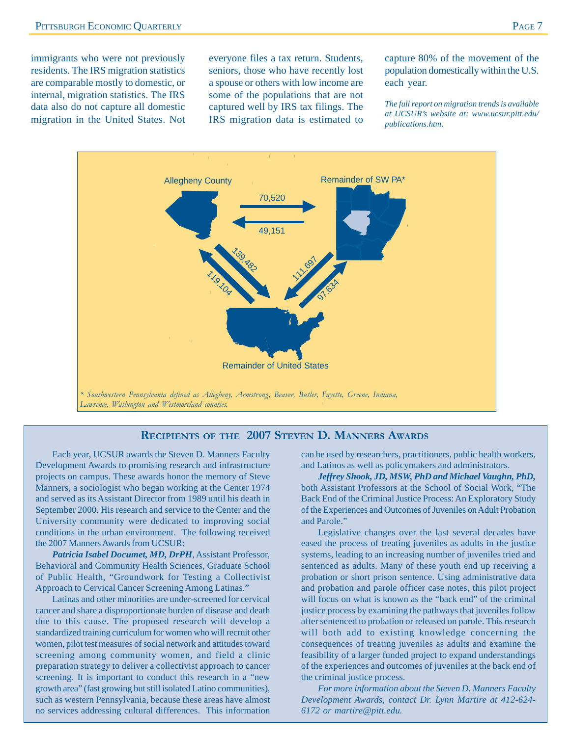immigrants who were not previously residents. The IRS migration statistics are comparable mostly to domestic, or internal, migration statistics. The IRS data also do not capture all domestic migration in the United States. Not everyone files a tax return. Students, seniors, those who have recently lost a spouse or others with low income are some of the populations that are not captured well by IRS tax filings. The IRS migration data is estimated to capture 80% of the movement of the population domestically within the U.S. each year.

*The full report on migration trends is available at UCSUR's website at: www.ucsur.pitt.edu/ publications.htm*.



#### **RECIPIENTS OF THE 2007 STEVEN D. MANNERS AWARDS**

Each year, UCSUR awards the Steven D. Manners Faculty Development Awards to promising research and infrastructure projects on campus. These awards honor the memory of Steve Manners, a sociologist who began working at the Center 1974 and served as its Assistant Director from 1989 until his death in September 2000. His research and service to the Center and the University community were dedicated to improving social conditions in the urban environment. The following received the 2007 Manners Awards from UCSUR:

*Patricia Isabel Documet, MD, DrPH*, Assistant Professor, Behavioral and Community Health Sciences, Graduate School of Public Health, "Groundwork for Testing a Collectivist Approach to Cervical Cancer Screening Among Latinas."

Latinas and other minorities are under-screened for cervical cancer and share a disproportionate burden of disease and death due to this cause. The proposed research will develop a standardized training curriculum for women who will recruit other women, pilot test measures of social network and attitudes toward screening among community women, and field a clinic preparation strategy to deliver a collectivist approach to cancer screening. It is important to conduct this research in a "new growth area" (fast growing but still isolated Latino communities), such as western Pennsylvania, because these areas have almost no services addressing cultural differences. This information

can be used by researchers, practitioners, public health workers, and Latinos as well as policymakers and administrators.

*Jeffrey Shook, JD, MSW, PhD and Michael Vaughn, PhD,* both Assistant Professors at the School of Social Work, "The Back End of the Criminal Justice Process: An Exploratory Study of the Experiences and Outcomes of Juveniles on Adult Probation and Parole."

Legislative changes over the last several decades have eased the process of treating juveniles as adults in the justice systems, leading to an increasing number of juveniles tried and sentenced as adults. Many of these youth end up receiving a probation or short prison sentence. Using administrative data and probation and parole officer case notes, this pilot project will focus on what is known as the "back end" of the criminal justice process by examining the pathways that juveniles follow after sentenced to probation or released on parole. This research will both add to existing knowledge concerning the consequences of treating juveniles as adults and examine the feasibility of a larger funded project to expand understandings of the experiences and outcomes of juveniles at the back end of the criminal justice process.

*For more information about the Steven D. Manners Faculty Development Awards, contact Dr. Lynn Martire at 412-624- 6172 or martire@pitt.edu.*